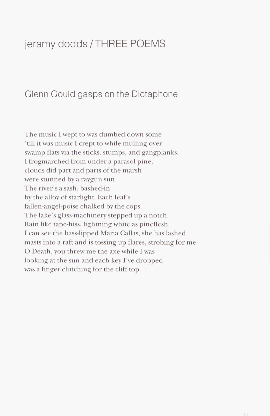## jeramy dodds / **THREE** POEMS

## Glenn Gould gasps on the Dictaphone

The music I wept to was dumbed down some 'till it was music I crept to while mulling over swamp flats via the sticks, stumps, and gangplanks. I frogmarched from under a parasol pine, clouds did part and parts of the marsh were stunned by a raygun sun. The river's a sash, bashed-in by the alloy of starlight. Each leaf's fallen-angel-poise chalked by the cops. The lake's glass-machinery stepped up a notch. Rain like tape-hiss, lightning white as pineflesh. I can see the bass-lipped Maria Callas, she has lashed masts into a raft and is tossing up flares, strobing for me. 0 Death, you threw me the axe while I was looking at the sun and each key I've dropped was a finger clutching for the cliff top.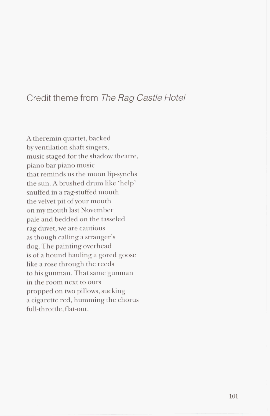## Credit theme from The Rag Castle Hotel

A theremin quartet, backed by ventilation shaft singers, music staged for the shadow theatre, piano bar piano music that reminds us the moon lip-synchs the sun. A brushed drum like 'help' snuffed in a rag-stuffed mouth the velvet pit of your mouth on my mouth last November pale and bedded on the tasseled rag duvet, we are cautious as though calling a stranger's dog. The painting overhead is of a hound hauling a gored goose like a rose through the reeds to his gunman. That same gunman in the room next to ours propped on two pillows, sucking <sup>a</sup>cigarette red, humming the chorus full-throttle, flat-out.